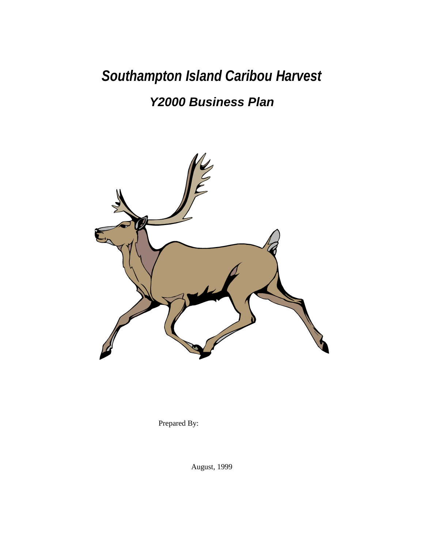*Southampton Island Caribou Harvest*

# *Y2000 Business Plan*



Prepared By:

August, 1999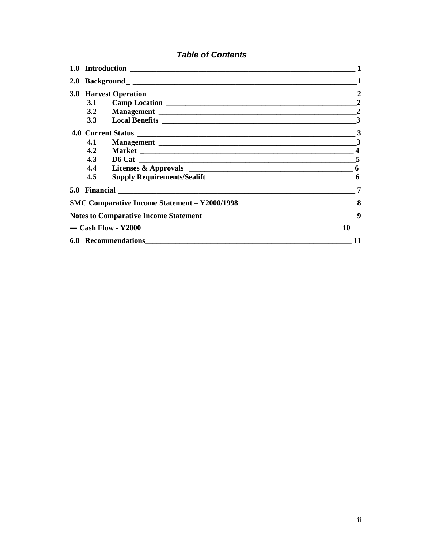## **Table of Contents**

| 3.1           |                                       | $\overline{2}$ |  |  |  |  |  |
|---------------|---------------------------------------|----------------|--|--|--|--|--|
|               |                                       |                |  |  |  |  |  |
|               |                                       |                |  |  |  |  |  |
|               |                                       |                |  |  |  |  |  |
| 4.1           |                                       |                |  |  |  |  |  |
| $4.2^{\circ}$ |                                       |                |  |  |  |  |  |
| 4.3           |                                       |                |  |  |  |  |  |
| 4.4           |                                       |                |  |  |  |  |  |
| 4.5           |                                       |                |  |  |  |  |  |
|               |                                       | 7              |  |  |  |  |  |
|               |                                       |                |  |  |  |  |  |
|               | Notes to Comparative Income Statement | 9              |  |  |  |  |  |
|               |                                       | 10             |  |  |  |  |  |
|               |                                       |                |  |  |  |  |  |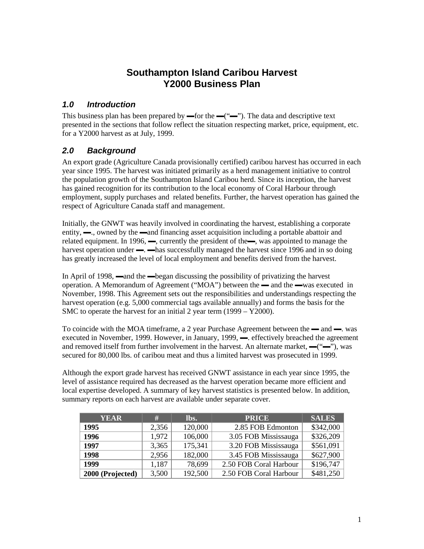## **Southampton Island Caribou Harvest Y2000 Business Plan**

## *1.0 Introduction*

This business plan has been prepared by —for the — $($ "—"). The data and descriptive text presented in the sections that follow reflect the situation respecting market, price, equipment, etc. for a Y2000 harvest as at July, 1999.

## *2.0 Background*

An export grade (Agriculture Canada provisionally certified) caribou harvest has occurred in each year since 1995. The harvest was initiated primarily as a herd management initiative to control the population growth of the Southampton Island Caribou herd. Since its inception, the harvest has gained recognition for its contribution to the local economy of Coral Harbour through employment, supply purchases and related benefits. Further, the harvest operation has gained the respect of Agriculture Canada staff and management.

Initially, the GNWT was heavily involved in coordinating the harvest, establishing a corporate entity, —, owned by the —and financing asset acquisition including a portable abattoir and related equipment. In 1996, —, currently the president of the—, was appointed to manage the harvest operation under —  $\rightarrow$  has successfully managed the harvest since 1996 and in so doing has greatly increased the level of local employment and benefits derived from the harvest.

In April of 1998, —and the —began discussing the possibility of privatizing the harvest operation. A Memorandum of Agreement ("MOA") between the — and the —was executed in November, 1998. This Agreement sets out the responsibilities and understandings respecting the harvest operation (e.g. 5,000 commercial tags available annually) and forms the basis for the SMC to operate the harvest for an initial 2 year term (1999 – Y2000).

To coincide with the MOA timeframe, a 2 year Purchase Agreement between the — and — was executed in November, 1999. However, in January, 1999, — effectively breached the agreement and removed itself from further involvement in the harvest. An alternate market, —("—"), was secured for 80,000 lbs. of caribou meat and thus a limited harvest was prosecuted in 1999.

Although the export grade harvest has received GNWT assistance in each year since 1995, the level of assistance required has decreased as the harvest operation became more efficient and local expertise developed. A summary of key harvest statistics is presented below. In addition, summary reports on each harvest are available under separate cover.

| <b>YEAR</b>      | #     | lbs.    | <b>PRICE</b>           | <b>SALES</b> |
|------------------|-------|---------|------------------------|--------------|
| 1995             | 2,356 | 120,000 | 2.85 FOB Edmonton      | \$342,000    |
| 1996             | 1,972 | 106,000 | 3.05 FOB Mississauga   | \$326,209    |
| 1997             | 3,365 | 175,341 | 3.20 FOB Mississauga   | \$561,091    |
| 1998             | 2,956 | 182,000 | 3.45 FOB Mississauga   | \$627,900    |
| 1999             | 1,187 | 78,699  | 2.50 FOB Coral Harbour | \$196,747    |
| 2000 (Projected) | 3,500 | 192,500 | 2.50 FOB Coral Harbour | \$481,250    |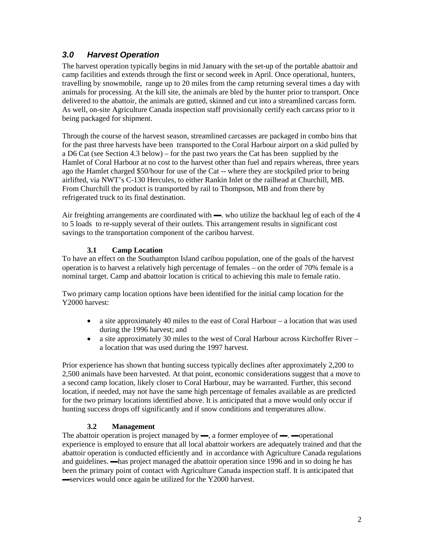## *3.0 Harvest Operation*

The harvest operation typically begins in mid January with the set-up of the portable abattoir and camp facilities and extends through the first or second week in April. Once operational, hunters, travelling by snowmobile, range up to 20 miles from the camp returning several times a day with animals for processing. At the kill site, the animals are bled by the hunter prior to transport. Once delivered to the abattoir, the animals are gutted, skinned and cut into a streamlined carcass form. As well, on-site Agriculture Canada inspection staff provisionally certify each carcass prior to it being packaged for shipment.

Through the course of the harvest season, streamlined carcasses are packaged in combo bins that for the past three harvests have been transported to the Coral Harbour airport on a skid pulled by a D6 Cat (see Section 4.3 below) – for the past two years the Cat has been supplied by the Hamlet of Coral Harbour at no cost to the harvest other than fuel and repairs whereas, three years ago the Hamlet charged \$50/hour for use of the Cat -- where they are stockpiled prior to being airlifted, via NWT's C-130 Hercules, to either Rankin Inlet or the railhead at Churchill, MB. From Churchill the product is transported by rail to Thompson, MB and from there by refrigerated truck to its final destination.

Air freighting arrangements are coordinated with —. who utilize the backhaul leg of each of the 4 to 5 loads to re-supply several of their outlets. This arrangement results in significant cost savings to the transportation component of the caribou harvest.

#### **3.1 Camp Location**

To have an effect on the Southampton Island caribou population, one of the goals of the harvest operation is to harvest a relatively high percentage of females – on the order of 70% female is a nominal target. Camp and abattoir location is critical to achieving this male to female ratio.

Two primary camp location options have been identified for the initial camp location for the Y2000 harvest:

- a site approximately 40 miles to the east of Coral Harbour a location that was used during the 1996 harvest; and
- a site approximately 30 miles to the west of Coral Harbour across Kirchoffer River a location that was used during the 1997 harvest.

Prior experience has shown that hunting success typically declines after approximately 2,200 to 2,500 animals have been harvested. At that point, economic considerations suggest that a move to a second camp location, likely closer to Coral Harbour, may be warranted. Further, this second location, if needed, may not have the same high percentage of females available as are predicted for the two primary locations identified above. It is anticipated that a move would only occur if hunting success drops off significantly and if snow conditions and temperatures allow.

#### **3.2 Management**

The abattoir operation is project managed by —, a former employee of —. —operational experience is employed to ensure that all local abattoir workers are adequately trained and that the abattoir operation is conducted efficiently and in accordance with Agriculture Canada regulations and guidelines. ▬has project managed the abattoir operation since 1996 and in so doing he has been the primary point of contact with Agriculture Canada inspection staff. It is anticipated that ▬services would once again be utilized for the Y2000 harvest.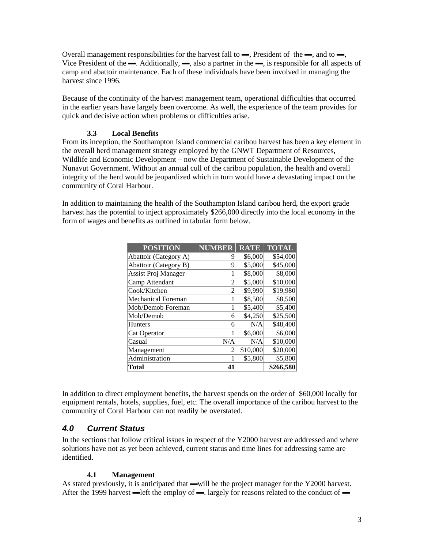Overall management responsibilities for the harvest fall to  $\rightarrow$ , President of the  $\rightarrow$ , and to  $\rightarrow$ , Vice President of the —. Additionally, —, also a partner in the —, is responsible for all aspects of camp and abattoir maintenance. Each of these individuals have been involved in managing the harvest since 1996.

Because of the continuity of the harvest management team, operational difficulties that occurred in the earlier years have largely been overcome. As well, the experience of the team provides for quick and decisive action when problems or difficulties arise.

#### **3.3 Local Benefits**

From its inception, the Southampton Island commercial caribou harvest has been a key element in the overall herd management strategy employed by the GNWT Department of Resources, Wildlife and Economic Development – now the Department of Sustainable Development of the Nunavut Government. Without an annual cull of the caribou population, the health and overall integrity of the herd would be jeopardized which in turn would have a devastating impact on the community of Coral Harbour.

In addition to maintaining the health of the Southampton Island caribou herd, the export grade harvest has the potential to inject approximately \$266,000 directly into the local economy in the form of wages and benefits as outlined in tabular form below.

| <b>POSITION</b>           | <b>NUMBER</b>  | <b>RATE</b> | <b>TOTAL</b> |
|---------------------------|----------------|-------------|--------------|
| Abattoir (Category A)     | 9              | \$6,000     | \$54,000     |
| Abattoir (Category B)     | 9              | \$5,000     | \$45,000     |
| Assist Proj Manager       |                | \$8,000     | \$8,000      |
| Camp Attendant            | $\overline{c}$ | \$5,000     | \$10,000     |
| Cook/Kitchen              | $\overline{c}$ | \$9,990     | \$19,980     |
| <b>Mechanical Foreman</b> | 1              | \$8,500     | \$8,500      |
| Mob/Demob Foreman         | 1              | \$5,400     | \$5,400      |
| Mob/Demob                 | 6              | \$4,250     | \$25,500     |
| <b>Hunters</b>            | 6              | N/A         | \$48,400     |
| Cat Operator              | 1              | \$6,000     | \$6,000      |
| Casual                    | N/A            | N/A         | \$10,000     |
| Management                | 2              | \$10,000    | \$20,000     |
| Administration            | 1              | \$5,800     | \$5,800      |
| Total                     | 41             |             | \$266,580    |

In addition to direct employment benefits, the harvest spends on the order of \$60,000 locally for equipment rentals, hotels, supplies, fuel, etc. The overall importance of the caribou harvest to the community of Coral Harbour can not readily be overstated.

#### *4.0 Current Status*

In the sections that follow critical issues in respect of the Y2000 harvest are addressed and where solutions have not as yet been achieved, current status and time lines for addressing same are identified.

#### **4.1 Management**

As stated previously, it is anticipated that —will be the project manager for the Y2000 harvest. After the 1999 harvest  $\Box$  left the employ of  $\Box$  largely for reasons related to the conduct of  $\Box$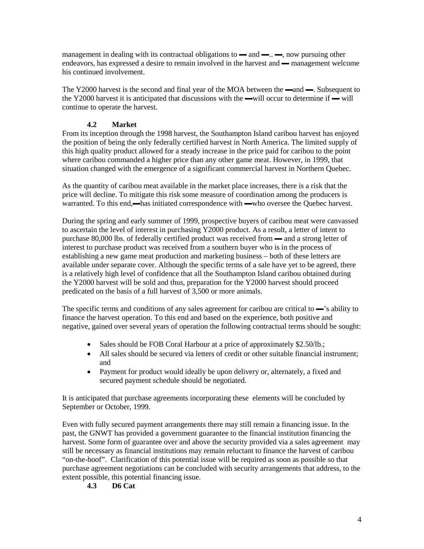management in dealing with its contractual obligations to  $\rightarrow$  and  $\rightarrow$ .  $\rightarrow$ , now pursuing other endeavors, has expressed a desire to remain involved in the harvest and — management welcome his continued involvement.

The Y2000 harvest is the second and final year of the MOA between the —and —. Subsequent to the Y2000 harvest it is anticipated that discussions with the —will occur to determine if — will continue to operate the harvest.

#### **4.2 Market**

From its inception through the 1998 harvest, the Southampton Island caribou harvest has enjoyed the position of being the only federally certified harvest in North America. The limited supply of this high quality product allowed for a steady increase in the price paid for caribou to the point where caribou commanded a higher price than any other game meat. However, in 1999, that situation changed with the emergence of a significant commercial harvest in Northern Quebec.

As the quantity of caribou meat available in the market place increases, there is a risk that the price will decline. To mitigate this risk some measure of coordination among the producers is warranted. To this end,—has initiated correspondence with —who oversee the Quebec harvest.

During the spring and early summer of 1999, prospective buyers of caribou meat were canvassed to ascertain the level of interest in purchasing Y2000 product. As a result, a letter of intent to purchase 80,000 lbs. of federally certified product was received from — and a strong letter of interest to purchase product was received from a southern buyer who is in the process of establishing a new game meat production and marketing business – both of these letters are available under separate cover. Although the specific terms of a sale have yet to be agreed, there is a relatively high level of confidence that all the Southampton Island caribou obtained during the Y2000 harvest will be sold and thus, preparation for the Y2000 harvest should proceed predicated on the basis of a full harvest of 3,500 or more animals.

The specific terms and conditions of any sales agreement for caribou are critical to —'s ability to finance the harvest operation. To this end and based on the experience, both positive and negative, gained over several years of operation the following contractual terms should be sought:

- Sales should be FOB Coral Harbour at a price of approximately \$2.50/lb.;
- All sales should be secured via letters of credit or other suitable financial instrument: and
- Payment for product would ideally be upon delivery or, alternately, a fixed and secured payment schedule should be negotiated.

It is anticipated that purchase agreements incorporating these elements will be concluded by September or October, 1999.

Even with fully secured payment arrangements there may still remain a financing issue. In the past, the GNWT has provided a government guarantee to the financial institution financing the harvest. Some form of guarantee over and above the security provided via a sales agreement may still be necessary as financial institutions may remain reluctant to finance the harvest of caribou "on-the-hoof". Clarification of this potential issue will be required as soon as possible so that purchase agreement negotiations can be concluded with security arrangements that address, to the extent possible, this potential financing issue.

#### **4.3 D6 Cat**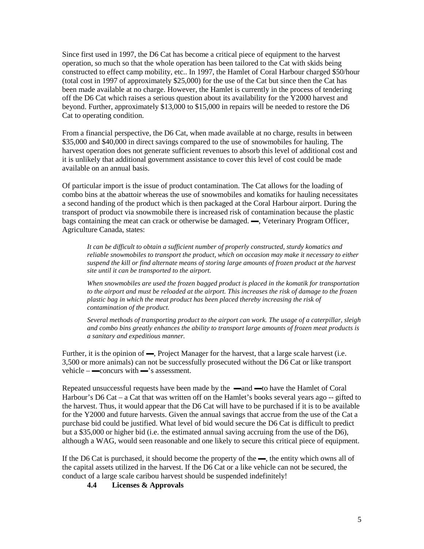Since first used in 1997, the D6 Cat has become a critical piece of equipment to the harvest operation, so much so that the whole operation has been tailored to the Cat with skids being constructed to effect camp mobility, etc.. In 1997, the Hamlet of Coral Harbour charged \$50/hour (total cost in 1997 of approximately \$25,000) for the use of the Cat but since then the Cat has been made available at no charge. However, the Hamlet is currently in the process of tendering off the D6 Cat which raises a serious question about its availability for the Y2000 harvest and beyond. Further, approximately \$13,000 to \$15,000 in repairs will be needed to restore the D6 Cat to operating condition.

From a financial perspective, the D6 Cat, when made available at no charge, results in between \$35,000 and \$40,000 in direct savings compared to the use of snowmobiles for hauling. The harvest operation does not generate sufficient revenues to absorb this level of additional cost and it is unlikely that additional government assistance to cover this level of cost could be made available on an annual basis.

Of particular import is the issue of product contamination. The Cat allows for the loading of combo bins at the abattoir whereas the use of snowmobiles and komatiks for hauling necessitates a second handing of the product which is then packaged at the Coral Harbour airport. During the transport of product via snowmobile there is increased risk of contamination because the plastic bags containing the meat can crack or otherwise be damaged. —, Veterinary Program Officer, Agriculture Canada, states:

*It can be difficult to obtain a sufficient number of properly constructed, sturdy komatics and reliable snowmobiles to transport the product, which on occasion may make it necessary to either suspend the kill or find alternate means of storing large amounts of frozen product at the harvest site until it can be transported to the airport.*

*When snowmobiles are used the frozen bagged product is placed in the komatik for transportation to the airport and must be reloaded at the airport. This increases the risk of damage to the frozen plastic bag in which the meat product has been placed thereby increasing the risk of contamination of the product.*

*Several methods of transporting product to the airport can work. The usage of a caterpillar, sleigh and combo bins greatly enhances the ability to transport large amounts of frozen meat products is a sanitary and expeditious manner.*

Further, it is the opinion of —, Project Manager for the harvest, that a large scale harvest (i.e. 3,500 or more animals) can not be successfully prosecuted without the D6 Cat or like transport vehicle –  $\equiv$  concurs with  $\equiv$ 's assessment.

Repeated unsuccessful requests have been made by the —and —to have the Hamlet of Coral Harbour's D6 Cat – a Cat that was written off on the Hamlet's books several years ago –- gifted to the harvest. Thus, it would appear that the D6 Cat will have to be purchased if it is to be available for the Y2000 and future harvests. Given the annual savings that accrue from the use of the Cat a purchase bid could be justified. What level of bid would secure the D6 Cat is difficult to predict but a \$35,000 or higher bid (i.e. the estimated annual saving accruing from the use of the D6), although a WAG, would seen reasonable and one likely to secure this critical piece of equipment.

If the D6 Cat is purchased, it should become the property of the —, the entity which owns all of the capital assets utilized in the harvest. If the D6 Cat or a like vehicle can not be secured, the conduct of a large scale caribou harvest should be suspended indefinitely!

**4.4 Licenses & Approvals**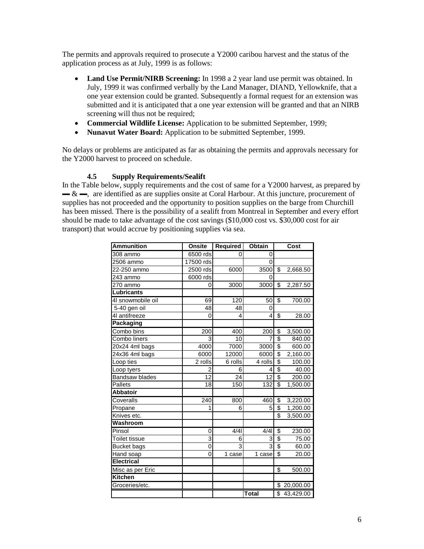The permits and approvals required to prosecute a Y2000 caribou harvest and the status of the application process as at July, 1999 is as follows:

- **Land Use Permit/NIRB Screening:** In 1998 a 2 year land use permit was obtained. In July, 1999 it was confirmed verbally by the Land Manager, DIAND, Yellowknife, that a one year extension could be granted. Subsequently a formal request for an extension was submitted and it is anticipated that a one year extension will be granted and that an NIRB screening will thus not be required;
- **Commercial Wildlife License:** Application to be submitted September, 1999;
- **Nunavut Water Board:** Application to be submitted September, 1999.

No delays or problems are anticipated as far as obtaining the permits and approvals necessary for the Y2000 harvest to proceed on schedule.

#### **4.5 Supply Requirements/Sealift**

In the Table below, supply requirements and the cost of same for a Y2000 harvest, as prepared by  $\rightarrow \& \rightarrow$ , are identified as are supplies onsite at Coral Harbour. At this juncture, procurement of supplies has not proceeded and the opportunity to position supplies on the barge from Churchill has been missed. There is the possibility of a sealift from Montreal in September and every effort should be made to take advantage of the cost savings (\$10,000 cost vs. \$30,000 cost for air transport) that would accrue by positioning supplies via sea.

| <b>Ammunition</b>     | Onsite    | Required | <b>Obtain</b> |                         | Cost        |
|-----------------------|-----------|----------|---------------|-------------------------|-------------|
| 308 ammo              | 6500 rds  | 0        | 0             |                         |             |
| 2506 ammo             | 17500 rds |          | 0             |                         |             |
| 22-250 ammo           | 2500 rds  | 6000     | 3500          | \$                      | 2,668.50    |
| 243 ammo              | 6000 rds  |          | 0             |                         |             |
| 270 ammo              | 0         | 3000     | 3000          | \$                      | 2,287.50    |
| Lubricants            |           |          |               |                         |             |
| 41 snowmobile oil     | 69        | 120      | 50            | S                       | 700.00      |
| 5-40 gen oil          | 48        | 48       | 0             |                         |             |
| 4I antifreeze         | 0         | 4        | 4             | \$                      | 28.00       |
| Packaging             |           |          |               |                         |             |
| Combo bins            | 200       | 400      | 200           | \$                      | 3,500.00    |
| Combo liners          | 3         | 10       | 7             | \$                      | 840.00      |
| 20x24 4ml bags        | 4000      | 7000     | 3000          | \$                      | 600.00      |
| 24x36 4ml bags        | 6000      | 12000    | 6000          | \$                      | 2,160.00    |
| Loop ties             | 2 rolls   | 6 rolls  | 4 rolls       | \$                      | 100.00      |
| Loop tyers            | 2         | 6        | 4             | \$                      | 40.00       |
| <b>Bandsaw blades</b> | 12        | 24       | 12            | \$                      | 200.00      |
| <b>Pallets</b>        | 18        | 150      | 132           | \$                      | 1,500.00    |
| <b>Abbatoir</b>       |           |          |               |                         |             |
| Coveralls             | 240       | 800      | 460           | \$                      | 3,220.00    |
| Propane               | 1         | 6        | 5             | \$                      | 1,200.00    |
| Knives etc.           |           |          |               | $\overline{\mathbf{S}}$ | 3,500.00    |
| Washroom              |           |          |               |                         |             |
| Pinsol                | 0         | 4/4      | 4/4           | \$                      | 230.00      |
| Toilet tissue         | 3         | 6        | 3             | \$                      | 75.00       |
| <b>Bucket bags</b>    | 0         | 3        | 3             | $\overline{\$}$         | 60.00       |
| Hand soap             | $\Omega$  | 1 case   | 1 case        | \$                      | 20.00       |
| <b>Electrical</b>     |           |          |               |                         |             |
| Misc as per Eric      |           |          |               | \$                      | 500.00      |
| <b>Kitchen</b>        |           |          |               |                         |             |
| Groceries/etc.        |           |          |               | \$                      | 20,000.00   |
|                       |           |          | <b>Total</b>  |                         | \$43,429.00 |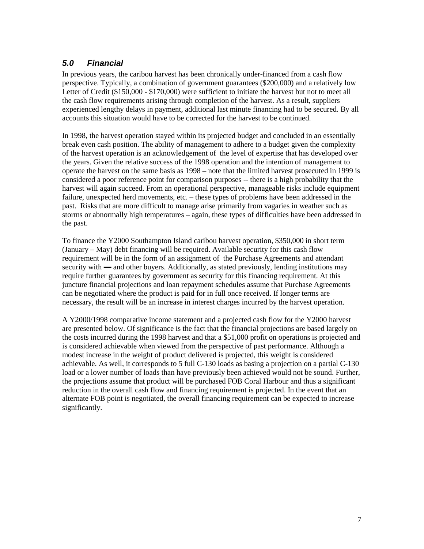## *5.0 Financial*

In previous years, the caribou harvest has been chronically under-financed from a cash flow perspective. Typically, a combination of government guarantees (\$200,000) and a relatively low Letter of Credit (\$150,000 - \$170,000) were sufficient to initiate the harvest but not to meet all the cash flow requirements arising through completion of the harvest. As a result, suppliers experienced lengthy delays in payment, additional last minute financing had to be secured. By all accounts this situation would have to be corrected for the harvest to be continued.

In 1998, the harvest operation stayed within its projected budget and concluded in an essentially break even cash position. The ability of management to adhere to a budget given the complexity of the harvest operation is an acknowledgement of the level of expertise that has developed over the years. Given the relative success of the 1998 operation and the intention of management to operate the harvest on the same basis as 1998 – note that the limited harvest prosecuted in 1999 is considered a poor reference point for comparison purposes -- there is a high probability that the harvest will again succeed. From an operational perspective, manageable risks include equipment failure, unexpected herd movements, etc. – these types of problems have been addressed in the past. Risks that are more difficult to manage arise primarily from vagaries in weather such as storms or abnormally high temperatures – again, these types of difficulties have been addressed in the past.

To finance the Y2000 Southampton Island caribou harvest operation, \$350,000 in short term (January – May) debt financing will be required. Available security for this cash flow requirement will be in the form of an assignment of the Purchase Agreements and attendant security with — and other buyers. Additionally, as stated previously, lending institutions may require further guarantees by government as security for this financing requirement. At this juncture financial projections and loan repayment schedules assume that Purchase Agreements can be negotiated where the product is paid for in full once received. If longer terms are necessary, the result will be an increase in interest charges incurred by the harvest operation.

A Y2000/1998 comparative income statement and a projected cash flow for the Y2000 harvest are presented below. Of significance is the fact that the financial projections are based largely on the costs incurred during the 1998 harvest and that a \$51,000 profit on operations is projected and is considered achievable when viewed from the perspective of past performance. Although a modest increase in the weight of product delivered is projected, this weight is considered achievable. As well, it corresponds to 5 full C-130 loads as basing a projection on a partial C-130 load or a lower number of loads than have previously been achieved would not be sound. Further, the projections assume that product will be purchased FOB Coral Harbour and thus a significant reduction in the overall cash flow and financing requirement is projected. In the event that an alternate FOB point is negotiated, the overall financing requirement can be expected to increase significantly.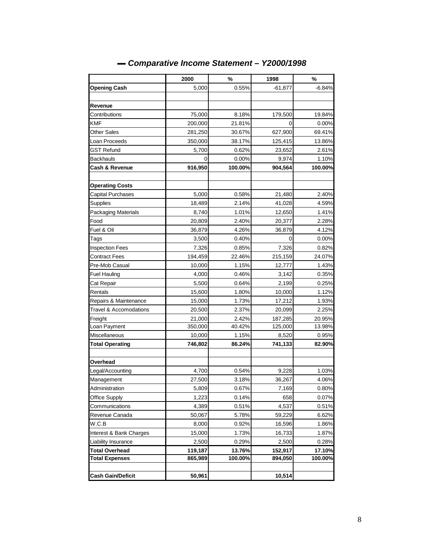|                           | 2000    | $\%$            | 1998            | $\%$     |  |
|---------------------------|---------|-----------------|-----------------|----------|--|
| <b>Opening Cash</b>       | 5,000   | 0.55%           | -61,877         | $-6.84%$ |  |
|                           |         |                 |                 |          |  |
| Revenue                   |         |                 |                 |          |  |
| Contributions             | 75,000  | 8.18%           | 179,500         | 19.84%   |  |
| KMF                       | 200,000 | 21.81%          | 0               | 0.00%    |  |
| <b>Other Sales</b>        | 281,250 | 30.67%          | 627,900         | 69.41%   |  |
| Loan Proceeds             | 350,000 | 38.17%          | 125,415         | 13.86%   |  |
| GST Refund                | 5,700   | 0.62%           | 23,652          | 2.61%    |  |
| Backhauls                 | 0       | 0.00%           | 9,974           | 1.10%    |  |
| <b>Cash &amp; Revenue</b> | 916,950 | 100.00%         | 904,564         | 100.00%  |  |
|                           |         |                 |                 |          |  |
| <b>Operating Costs</b>    |         |                 |                 |          |  |
| <b>Capital Purchases</b>  | 5,000   | 0.58%           | 21,480          | 2.40%    |  |
| Supplies                  | 18,489  | 2.14%           | 41,028          | 4.59%    |  |
| Packaging Materials       | 8,740   | 1.01%           | 12,650          | 1.41%    |  |
| Food                      | 20,809  | 2.40%           | 20,377          | 2.28%    |  |
| Fuel & Oil                | 36,879  | 4.26%           | 36,879          | 4.12%    |  |
| Tags                      | 3,500   | 0.40%           | 0               | 0.00%    |  |
| <b>Inspection Fees</b>    | 7,326   | 0.85%           | 7,326           | 0.82%    |  |
| Contract Fees             | 194,459 | 22.46%          | 215,159         | 24.07%   |  |
| Pre-Mob Casual            | 10,000  | 1.15%           | 12,777          | 1.43%    |  |
| <b>Fuel Hauling</b>       | 4,000   | 0.46%           | 3,142           | 0.35%    |  |
| Cat Repair                | 5,500   | 0.64%           | 2,199           | 0.25%    |  |
| Rentals                   | 15,600  | 1.80%           | 10,000          | 1.12%    |  |
| Repairs & Maintenance     | 15,000  | 1.73%           | 17,212          | 1.93%    |  |
| Travel & Accomodations    | 20,500  | 2.37%           | 20,099          | 2.25%    |  |
| Freight                   | 21,000  | 2.42%           | 187,285         | 20.95%   |  |
| Loan Payment              | 350,000 | 40.42%          | 125,000         | 13.98%   |  |
| Miscellaneous             | 10,000  | 1.15%           | 8,520           | 0.95%    |  |
| <b>Total Operating</b>    | 746,802 | 86.24%          | 741,133         | 82.90%   |  |
|                           |         |                 |                 |          |  |
| Overhead                  |         |                 |                 |          |  |
| Legal/Accounting          | 4,700   | 0.54%           | 9,228           | 1.03%    |  |
| Management                | 27,500  | 3.18%           | 36,267          | 4.06%    |  |
| Administration            | 5,809   | 0.67%           | 7,169           | 0.80%    |  |
| Office Supply             | 1,223   | 0.14%           | 658             | 0.07%    |  |
| Communications            | 4,389   | 0.51%           | 4,537           | 0.51%    |  |
| Revenue Canada            | 50,067  | 5.78%           | 59,229          | 6.62%    |  |
| W.C.B                     | 8,000   | 0.92%           | 16,596          | 1.86%    |  |
| Interest & Bank Charges   |         | 15,000<br>1.73% |                 | 1.87%    |  |
| Liability Insurance       | 2,500   | 0.29%           | 16,733<br>2,500 | 0.28%    |  |
| <b>Total Overhead</b>     | 119,187 | 13.76%          | 152,917         | 17.10%   |  |
| <b>Total Expenses</b>     | 865,989 | 100.00%         | 894,050         | 100.00%  |  |
|                           |         |                 |                 |          |  |
| <b>Cash Gain/Deficit</b>  | 50,961  |                 | 10,514          |          |  |

## *▬ Comparative Income Statement – Y2000/1998*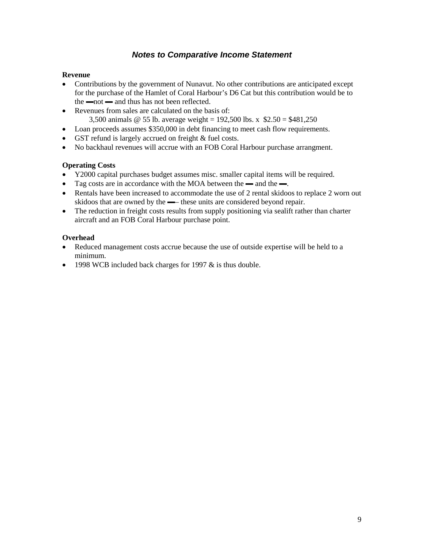#### *Notes to Comparative Income Statement*

#### **Revenue**

- Contributions by the government of Nunavut. No other contributions are anticipated except for the purchase of the Hamlet of Coral Harbour's D6 Cat but this contribution would be to  $the  $—$  not  $—$  and thus has not been reflected.$
- Revenues from sales are calculated on the basis of: 3,500 animals @ 55 lb. average weight = 192,500 lbs. x \$2.50 = \$481,250
- Loan proceeds assumes \$350,000 in debt financing to meet cash flow requirements.
- GST refund is largely accrued on freight & fuel costs.
- No backhaul revenues will accrue with an FOB Coral Harbour purchase arrangment.

#### **Operating Costs**

- Y2000 capital purchases budget assumes misc. smaller capital items will be required.
- Tag costs are in accordance with the MOA between the and the —.
- Rentals have been increased to accommodate the use of 2 rental skidoos to replace 2 worn out skidoos that are owned by the —– these units are considered beyond repair.
- The reduction in freight costs results from supply positioning via sealift rather than charter aircraft and an FOB Coral Harbour purchase point.

#### **Overhead**

- Reduced management costs accrue because the use of outside expertise will be held to a minimum.
- 1998 WCB included back charges for 1997  $&$  is thus double.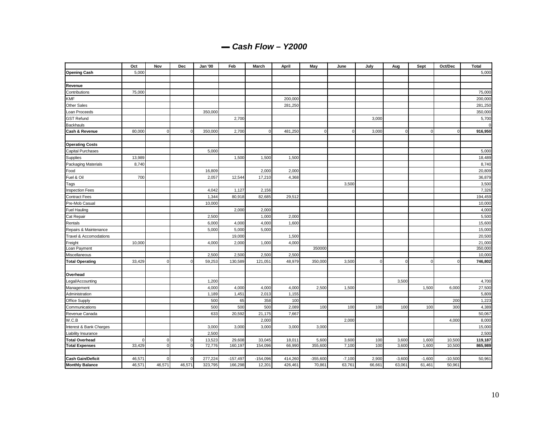|  |  | $-$ Cash Flow - Y2000 |  |
|--|--|-----------------------|--|
|--|--|-----------------------|--|

|                                   | Oct            | Nov            | Dec            | Jan '00 | Feb        | March       | April   | May          | June     | July           | Aug            | Sept           | Oct/Dec        | <b>Total</b> |
|-----------------------------------|----------------|----------------|----------------|---------|------------|-------------|---------|--------------|----------|----------------|----------------|----------------|----------------|--------------|
| <b>Opening Cash</b>               | 5,000          |                |                |         |            |             |         |              |          |                |                |                |                | 5,000        |
|                                   |                |                |                |         |            |             |         |              |          |                |                |                |                |              |
| Revenue                           |                |                |                |         |            |             |         |              |          |                |                |                |                |              |
| Contributions                     | 75,000         |                |                |         |            |             |         |              |          |                |                |                |                | 75,000       |
| <b>KMF</b>                        |                |                |                |         |            |             | 200,000 |              |          |                |                |                |                | 200,000      |
| <b>Other Sales</b>                |                |                |                |         |            |             | 281,250 |              |          |                |                |                |                | 281,250      |
| Loan Proceeds                     |                |                |                | 350,000 |            |             |         |              |          |                |                |                |                | 350,000      |
| <b>GST Refund</b>                 |                |                |                |         | 2,700      |             |         |              |          | 3,000          |                |                |                | 5,700        |
| <b>Backhauls</b>                  |                |                |                |         |            |             |         |              |          |                |                |                |                |              |
| Cash & Revenue                    | 80,000         | $\overline{0}$ | 0              | 350,000 | 2,700      | $\mathbf 0$ | 481,250 | <sub>0</sub> | $\circ$  | 3,000          | $\overline{0}$ | $\mathbf 0$    | $\pmb{0}$      | 916,950      |
|                                   |                |                |                |         |            |             |         |              |          |                |                |                |                |              |
| <b>Operating Costs</b>            |                |                |                |         |            |             |         |              |          |                |                |                |                |              |
| Capital Purchases                 |                |                |                | 5,000   |            |             |         |              |          |                |                |                |                | 5,000        |
| Supplies                          | 13,989         |                |                |         | 1,500      | 1,500       | 1,500   |              |          |                |                |                |                | 18,489       |
| Packaging Materials               | 8,740          |                |                |         |            |             |         |              |          |                |                |                |                | 8,740        |
| Food                              |                |                |                | 16,809  |            | 2,000       | 2,000   |              |          |                |                |                |                | 20,809       |
| Fuel & Oil                        | 700            |                |                | 2,057   | 12,544     | 17,210      | 4,368   |              |          |                |                |                |                | 36,879       |
| Tags                              |                |                |                |         |            |             |         |              | 3,500    |                |                |                |                | 3,500        |
| <b>Inspection Fees</b>            |                |                |                | 4,042   | 1,127      | 2,156       |         |              |          |                |                |                |                | 7,326        |
| <b>Contract Fees</b>              |                |                |                | 1,344   | 80,918     | 82,685      | 29,512  |              |          |                |                |                |                | 194,459      |
| Pre-Mob Casual                    |                |                |                | 10,000  |            |             |         |              |          |                |                |                |                | 10,000       |
| <b>Fuel Hauling</b>               |                |                |                |         | 2,000      | 2,000       |         |              |          |                |                |                |                | 4,000        |
| Cat Repair                        |                |                |                | 2,500   |            | 1,000       | 2,000   |              |          |                |                |                |                | 5,500        |
| Rentals                           |                |                |                | 6,000   | 4,000      | 4,000       | 1,600   |              |          |                |                |                |                | 15,600       |
| Repairs & Maintenance             |                |                |                | 5,000   | 5,000      | 5,000       |         |              |          |                |                |                |                | 15,000       |
| <b>Travel &amp; Accomodations</b> |                |                |                |         | 19,000     |             | 1,500   |              |          |                |                |                |                | 20,500       |
| Freight                           | 10,000         |                |                | 4,000   | 2,000      | 1,000       | 4,000   |              |          |                |                |                |                | 21,000       |
| Loan Payment                      |                |                |                |         |            |             |         | 350000       |          |                |                |                |                | 350,000      |
| Miscellaneous                     |                |                |                | 2,500   | 2,500      | 2,500       | 2,500   |              |          |                |                |                |                | 10,000       |
| <b>Total Operating</b>            | 33,429         | $\overline{0}$ | $\circ$        | 59,253  | 130,589    | 121,051     | 48,979  | 350,000      | 3,500    | $\overline{0}$ | $\overline{0}$ | $\overline{0}$ | $\overline{0}$ | 746,802      |
| Overhead                          |                |                |                |         |            |             |         |              |          |                |                |                |                |              |
| Legal/Accounting                  |                |                |                | 1,200   |            |             |         |              |          |                | 3,500          |                |                | 4,700        |
| Management                        |                |                |                | 4,000   | 4,000      | 4,000       | 4,000   | 2,500        | 1,500    |                |                | 1,500          | 6,000          | 27,500       |
| Administration                    |                |                |                | 1,189   | 1,451      | 2,013       | 1,155   |              |          |                |                |                |                | 5,809        |
| <b>Office Supply</b>              |                |                |                | 500     | 65         | 358         | 100     |              |          |                |                |                | 200            | 1,223        |
| Communications                    |                |                |                | 500     | 500        | 500         | 2,089   | 100          | 100      | 100            | 100            | 100            | 300            | 4,389        |
| Revenue Canada                    |                |                |                | 633     | 20,592     | 21,175      | 7,667   |              |          |                |                |                |                | 50,067       |
| W.C.B                             |                |                |                |         |            | 2,000       |         |              | 2,000    |                |                |                | 4,000          | 8,000        |
| Interest & Bank Charges           |                |                |                | 3,000   | 3,000      | 3,000       | 3,000   | 3,000        |          |                |                |                |                | 15,000       |
| Liability Insurance               |                |                |                | 2,500   |            |             |         |              |          |                |                |                |                | 2,500        |
| <b>Total Overhead</b>             | $\overline{0}$ | 0              | 0              | 13,523  | 29,608     | 33,045      | 18,011  | 5,600        | 3,600    | 100            | 3,600          | 1,600          | 10,500         | 119,187      |
| <b>Total Expenses</b>             | 33,429         | $\mathbf 0$    | $\overline{0}$ | 72,776  | 160,197    | 154,096     | 66,990  | 355,600      | 7,100    | 100            | 3,600          | 1,600          | 10,500         | 865,989      |
|                                   |                |                |                |         |            |             |         |              |          |                |                |                |                |              |
| <b>Cash Gain/Deficit</b>          | 46,571         | $\mathbf 0$    | $\mathbf 0$    | 277,224 | $-157,497$ | $-154,096$  | 414,260 | $-355,600$   | $-7,100$ | 2,900          | $-3,600$       | $-1,600$       | $-10,500$      | 50,961       |
| <b>Monthly Balance</b>            | 46,571         | 46,571         | 46,571         | 323,795 | 166,298    | 12,201      | 426,461 | 70,861       | 63,761   | 66,661         | 63,061         | 61,461         | 50,961         |              |